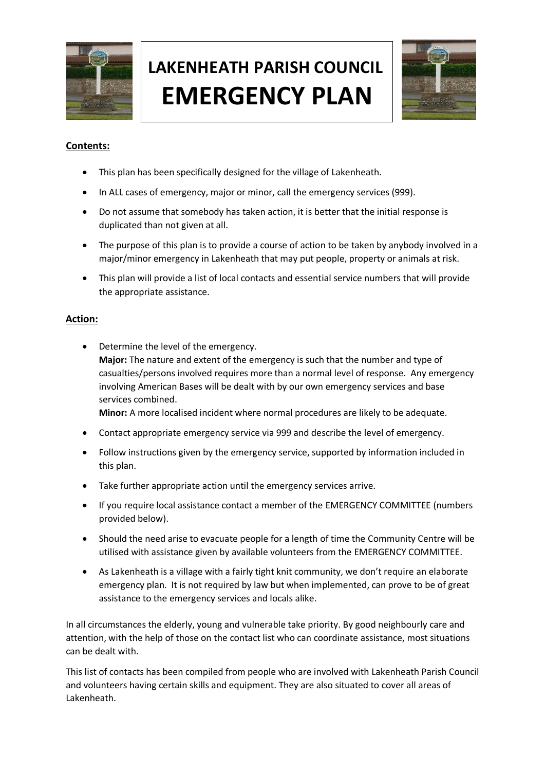

# **LAKENHEATH PARISH COUNCIL EMERGENCY PLAN**



### **Contents:**

- This plan has been specifically designed for the village of Lakenheath.
- In ALL cases of emergency, major or minor, call the emergency services (999).
- Do not assume that somebody has taken action, it is better that the initial response is duplicated than not given at all.
- The purpose of this plan is to provide a course of action to be taken by anybody involved in a major/minor emergency in Lakenheath that may put people, property or animals at risk.
- This plan will provide a list of local contacts and essential service numbers that will provide the appropriate assistance.

#### **Action:**

- Determine the level of the emergency. **Major:** The nature and extent of the emergency is such that the number and type of casualties/persons involved requires more than a normal level of response. Any emergency involving American Bases will be dealt with by our own emergency services and base services combined. **Minor:** A more localised incident where normal procedures are likely to be adequate.
- Contact appropriate emergency service via 999 and describe the level of emergency.
- Follow instructions given by the emergency service, supported by information included in this plan.
- Take further appropriate action until the emergency services arrive.
- If you require local assistance contact a member of the EMERGENCY COMMITTEE (numbers provided below).
- Should the need arise to evacuate people for a length of time the Community Centre will be utilised with assistance given by available volunteers from the EMERGENCY COMMITTEE.
- As Lakenheath is a village with a fairly tight knit community, we don't require an elaborate emergency plan. It is not required by law but when implemented, can prove to be of great assistance to the emergency services and locals alike.

In all circumstances the elderly, young and vulnerable take priority. By good neighbourly care and attention, with the help of those on the contact list who can coordinate assistance, most situations can be dealt with.

This list of contacts has been compiled from people who are involved with Lakenheath Parish Council and volunteers having certain skills and equipment. They are also situated to cover all areas of Lakenheath.